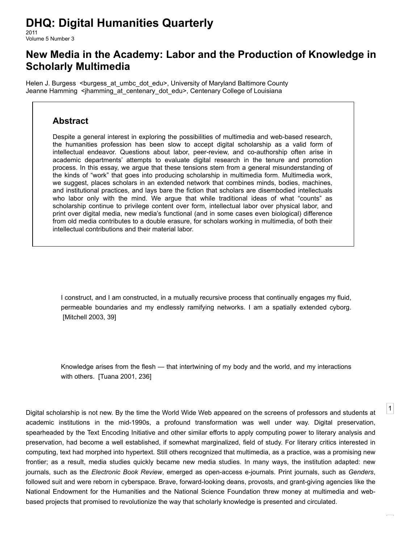# **DHQ: Digital Humanities Quarterly**

2011 Volume 5 Number 3

# **New Media in the Academy: Labor and the Production of Knowledge in Scholarly Multimedia**

[Helen J. Burgess](http://www.digitalhumanities.org/dhq/vol/5/3/bios.html#burgess_helen_j.) <br/>[burgess\\_at\\_umbc\\_dot\\_edu](mailto:burgess_at_umbc_dot_edu)>, University of Maryland Baltimore County [Jeanne Hamming](http://www.digitalhumanities.org/dhq/vol/5/3/bios.html#hamming_jeanne) <[jhamming\\_at\\_centenary\\_dot\\_edu](mailto:jhamming_at_centenary_dot_edu)>, Centenary College of Louisiana

#### **Abstract**

Despite a general interest in exploring the possibilities of multimedia and web-based research, the humanities profession has been slow to accept digital scholarship as a valid form of intellectual endeavor. Questions about labor, peer-review, and co-authorship often arise in academic departments' attempts to evaluate digital research in the tenure and promotion process. In this essay, we argue that these tensions stem from a general misunderstanding of the kinds of "work" that goes into producing scholarship in multimedia form. Multimedia work, we suggest, places scholars in an extended network that combines minds, bodies, machines, and institutional practices, and lays bare the fiction that scholars are disembodied intellectuals who labor only with the mind. We argue that while traditional ideas of what "counts" as scholarship continue to privilege content over form, intellectual labor over physical labor, and print over digital media, new media's functional (and in some cases even biological) difference from old media contributes to a double erasure, for scholars working in multimedia, of both their intellectual contributions and their material labor.

I construct, and I am constructed, in a mutually recursive process that continually engages my fluid, permeable boundaries and my endlessly ramifying networks. I am a spatially extended cyborg. [\[Mitchell 2003,](#page-13-0) 39]

Knowledge arises from the flesh — that intertwining of my body and the world, and my interactions with others. [\[Tuana 2001,](#page-13-1) 236]

[1](#page-0-0)

<span id="page-0-0"></span>Digital scholarship is not new. By the time the World Wide Web appeared on the screens of professors and students at academic institutions in the mid-1990s, a profound transformation was well under way. Digital preservation, spearheaded by the Text Encoding Initiative and other similar efforts to apply computing power to literary analysis and preservation, had become a well established, if somewhat marginalized, field of study. For literary critics interested in computing, text had morphed into hypertext. Still others recognized that multimedia, as a practice, was a promising new frontier; as a result, media studies quickly became new media studies. In many ways, the institution adapted: new journals, such as the *Electronic Book Review*, emerged as open-access e-journals. Print journals, such as *Genders*, followed suit and were reborn in cyberspace. Brave, forward-looking deans, provosts, and grant-giving agencies like the National Endowment for the Humanities and the National Science Foundation threw money at multimedia and webbased projects that promised to revolutionize the way that scholarly knowledge is presented and circulated.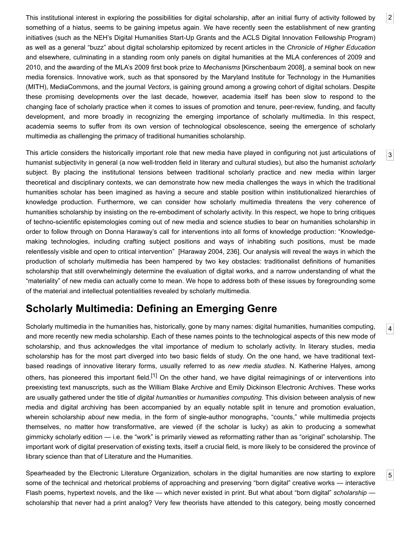<span id="page-1-0"></span>This institutional interest in exploring the possibilities for digital scholarship, after an initial flurry of activity followed by something of a hiatus, seems to be gaining impetus again. We have recently seen the establishment of new granting initiatives (such as the NEH's Digital Humanities Start-Up Grants and the ACLS Digital Innovation Fellowship Program) as well as a general "buzz" about digital scholarship epitomized by recent articles in the *Chronicle of Higher Education* and elsewhere, culminating in a standing room only panels on digital humanities at the MLA conferences of 2009 and 2010, and the awarding of the MLA's 2009 first book prize to *Mechanisms* [[Kirschenbaum 2008\]](#page-13-2), a seminal book on new media forensics. Innovative work, such as that sponsored by the Maryland Institute for Technology in the Humanities (MITH), MediaCommons, and the journal *Vectors*, is gaining ground among a growing cohort of digital scholars. Despite these promising developments over the last decade, however, academia itself has been slow to respond to the changing face of scholarly practice when it comes to issues of promotion and tenure, peer-review, funding, and faculty development, and more broadly in recognizing the emerging importance of scholarly multimedia. In this respect, academia seems to suffer from its own version of technological obsolescence, seeing the emergence of scholarly multimedia as challenging the primacy of traditional humanities scholarship.

<span id="page-1-1"></span>This article considers the historically important role that new media have played in configuring not just articulations of humanist subjectivity in general (a now well-trodden field in literary and cultural studies), but also the humanist *scholarly* subject. By placing the institutional tensions between traditional scholarly practice and new media within larger theoretical and disciplinary contexts, we can demonstrate how new media challenges the ways in which the traditional humanities scholar has been imagined as having a secure and stable position within institutionalized hierarchies of knowledge production. Furthermore, we can consider how scholarly multimedia threatens the very coherence of humanities scholarship by insisting on the re-embodiment of scholarly activity. In this respect, we hope to bring critiques of techno-scientific epistemologies coming out of new media and science studies to bear on humanities scholarship in order to follow through on Donna Haraway's call for interventions into all forms of knowledge production: "Knowledgemaking technologies, including crafting subject positions and ways of inhabiting such positions, must be made relentlessly visible and open to critical intervention" [[Haraway 2004,](#page-13-3) 236]. Our analysis will reveal the ways in which the production of scholarly multimedia has been hampered by two key obstacles: traditionalist definitions of humanities scholarship that still overwhelmingly determine the evaluation of digital works, and a narrow understanding of what the "materiality" of new media can actually come to mean. We hope to address both of these issues by foregrounding some of the material and intellectual potentialities revealed by scholarly multimedia.

## **Scholarly Multimedia: Defining an Emerging Genre**

<span id="page-1-2"></span>Scholarly multimedia in the humanities has, historically, gone by many names: digital humanities, humanities computing, and more recently new media scholarship. Each of these names points to the technological aspects of this new mode of scholarship, and thus acknowledges the vital importance of medium to scholarly activity. In literary studies, media scholarship has for the most part diverged into two basic fields of study. On the one hand, we have traditional textbased readings of innovative literary forms, usually referred to as *new media studies*. N. Katherine Halyes, among others, has pioneered this important field.<sup>[1]</sup> On the other hand, we have digital reimaginings of or interventions into preexisting text manuscripts, such as the William Blake Archive and Emily Dickinson Electronic Archives. These works are usually gathered under the title of *digital humanities* or *humanities computing*. This division between analysis of new media and digital archiving has been accompanied by an equally notable split in tenure and promotion evaluation, wherein scholarship *about* new media, in the form of single-author monographs, "counts," while multimedia projects themselves, no matter how transformative, are viewed (if the scholar is lucky) as akin to producing a somewhat gimmicky scholarly edition — i.e. the "work" is primarily viewed as reformatting rather than as "original" scholarship. The important work of digital preservation of existing texts, itself a crucial field, is more likely to be considered the province of library science than that of Literature and the Humanities.

<span id="page-1-3"></span>Spearheaded by the Electronic Literature Organization, scholars in the digital humanities are now starting to explore some of the technical and rhetorical problems of approaching and preserving "born digital" creative works — interactive Flash poems, hypertext novels, and the like — which never existed in print. But what about "born digital" *scholarship* scholarship that never had a print analog? Very few theorists have attended to this category, being mostly concerned [4](#page-1-2)

[5](#page-1-3)

[2](#page-1-0)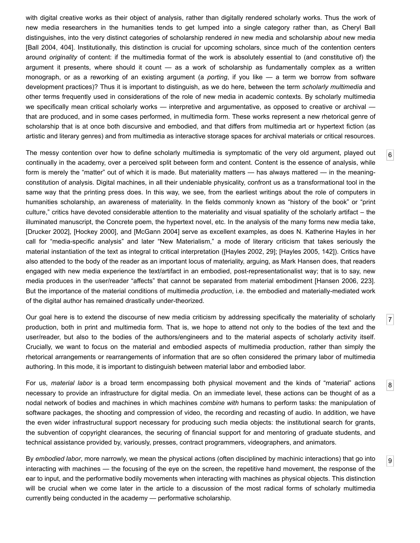with digital creative works as their object of analysis, rather than digitally rendered scholarly works. Thus the work of new media researchers in the humanities tends to get lumped into a single category rather than, as Cheryl Ball distinguishes, into the very distinct categories of scholarship rendered *in* new media and scholarship *about* new media [\[Ball 2004,](#page-12-0) 404]. Institutionally, this distinction is crucial for upcoming scholars, since much of the contention centers around *originality* of content: if the multimedia format of the work is absolutely essential to (and constitutive of) the argument it presents, where should it count — as a work of scholarship as fundamentally complex as a written monograph, or as a reworking of an existing argument (a *porting*, if you like — a term we borrow from software development practices)? Thus it is important to distinguish, as we do here, between the term *scholarly multimedia* and other terms frequently used in considerations of the role of new media in academic contexts. By scholarly multimedia we specifically mean critical scholarly works — interpretive and argumentative, as opposed to creative or archival that are produced, and in some cases performed, in multimedia form. These works represent a new rhetorical genre of scholarship that is at once both discursive and embodied, and that differs from multimedia art or hypertext fiction (as artistic and literary genres) and from multimedia as interactive storage spaces for archival materials or critical resources.

<span id="page-2-0"></span>The messy contention over how to define scholarly multimedia is symptomatic of the very old argument, played out continually in the academy, over a perceived split between form and content. Content is the essence of analysis, while form is merely the "matter" out of which it is made. But materiality matters — has always mattered — in the meaningconstitution of analysis. Digital machines, in all their undeniable physicality, confront us as a transformational tool in the same way that the printing press does. In this way, we see, from the earliest writings about the role of computers in humanities scholarship, an awareness of materiality. In the fields commonly known as "history of the book" or "print culture," critics have devoted considerable attention to the materiality and visual spatiality of the scholarly artifact – the illuminated manuscript, the Concrete poem, the hypertext novel, etc. In the analysis of the many forms new media take, [\[Drucker 2002\]](#page-12-1), [\[Hockey 2000](#page-13-4)], and [\[McGann 2004](#page-13-5)] serve as excellent examples, as does N. Katherine Hayles in her call for "media-specific analysis" and later "New Materialism," a mode of literary criticism that takes seriously the material instantiation of the text as integral to critical interpretation ([[Hayles 2002,](#page-13-6) 29]; [[Hayles 2005,](#page-13-7) 142]). Critics have also attended to the body of the reader as an important locus of materiality, arguing, as Mark Hansen does, that readers engaged with new media experience the text/artifact in an embodied, post-representationalist way; that is to say, new media produces in the user/reader "affects" that cannot be separated from material embodiment [[Hansen 2006,](#page-13-8) 223]. But the importance of the material conditions of multimedia *production*, i.e. the embodied and materially-mediated work of the digital author has remained drastically under-theorized.

[6](#page-2-0)

[7](#page-2-1)

[8](#page-2-2)

[9](#page-2-3)

<span id="page-2-1"></span>Our goal here is to extend the discourse of new media criticism by addressing specifically the materiality of scholarly production, both in print and multimedia form. That is, we hope to attend not only to the bodies of the text and the user/reader, but also to the bodies of the authors/engineers and to the material aspects of scholarly activity itself. Crucially, we want to focus on the material and embodied aspects of multimedia production, rather than simply the rhetorical arrangements or rearrangements of information that are so often considered the primary labor of multimedia authoring. In this mode, it is important to distinguish between material labor and embodied labor.

<span id="page-2-2"></span>For us, *material labor* is a broad term encompassing both physical movement and the kinds of "material" actions necessary to provide an infrastructure for digital media. On an immediate level, these actions can be thought of as a nodal network of bodies and machines in which machines *combine with* humans to perform tasks: the manipulation of software packages, the shooting and compression of video, the recording and recasting of audio. In addition, we have the even wider infrastructural support necessary for producing such media objects: the institutional search for grants, the subvention of copyright clearances, the securing of financial support for and mentoring of graduate students, and technical assistance provided by, variously, presses, contract programmers, videographers, and animators.

<span id="page-2-3"></span>By *embodied labor*, more narrowly, we mean the physical actions (often disciplined by machinic interactions) that go into interacting with machines — the focusing of the eye on the screen, the repetitive hand movement, the response of the ear to input, and the performative bodily movements when interacting with machines as physical objects. This distinction will be crucial when we come later in the article to a discussion of the most radical forms of scholarly multimedia currently being conducted in the academy — performative scholarship.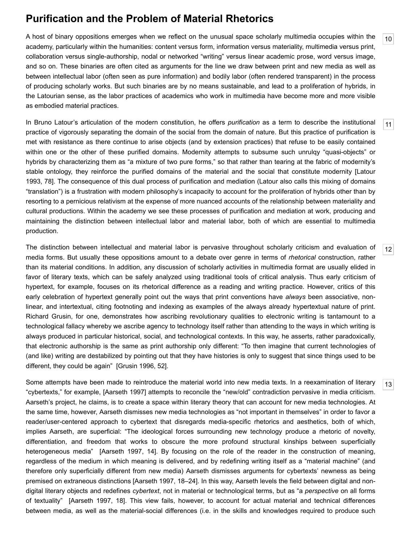## **Purification and the Problem of Material Rhetorics**

<span id="page-3-0"></span>A host of binary oppositions emerges when we reflect on the unusual space scholarly multimedia occupies within the academy, particularly within the humanities: content versus form, information versus materiality, multimedia versus print, collaboration versus single-authorship, nodal or networked "writing" versus linear academic prose, word versus image, and so on. These binaries are often cited as arguments for the line we draw between print and new media as well as between intellectual labor (often seen as pure information) and bodily labor (often rendered transparent) in the process of producing scholarly works. But such binaries are by no means sustainable, and lead to a proliferation of hybrids, in the Latourian sense, as the labor practices of academics who work in multimedia have become more and more visible as embodied material practices.

[10](#page-3-0)

[11](#page-3-1)

[12](#page-3-2)

[13](#page-3-3)

<span id="page-3-1"></span>In Bruno Latour's articulation of the modern constitution, he offers *purification* as a term to describe the institutional practice of vigorously separating the domain of the social from the domain of nature. But this practice of purification is met with resistance as there continue to arise objects (and by extension practices) that refuse to be easily contained within one or the other of these purified domains. Modernity attempts to subsume such unrulqy "quasi-objects" or hybrids by characterizing them as "a mixture of two pure forms," so that rather than tearing at the fabric of modernity's [stable ontology, they reinforce the purified domains of the material and the social that constitute modernity \[Latour](#page-13-9) 1993, 78]. The consequence of this dual process of purification and mediation (Latour also calls this mixing of domains "translation") is a frustration with modern philosophy's incapacity to account for the proliferation of hybrids other than by resorting to a pernicious relativism at the expense of more nuanced accounts of the relationship between materiality and cultural productions. Within the academy we see these processes of purification and mediation at work, producing and maintaining the distinction between intellectual labor and material labor, both of which are essential to multimedia production.

<span id="page-3-2"></span>The distinction between intellectual and material labor is pervasive throughout scholarly criticism and evaluation of media forms. But usually these oppositions amount to a debate over genre in terms of *rhetorical* construction, rather than its material conditions. In addition, any discussion of scholarly activities in multimedia format are usually elided in favor of literary texts, which can be safely analyzed using traditional tools of critical analysis. Thus early criticism of hypertext, for example, focuses on its rhetorical difference as a reading and writing practice. However, critics of this early celebration of hypertext generally point out the ways that print conventions have *always* been associative, nonlinear, and intertextual, citing footnoting and indexing as examples of the always already hypertextual nature of print. Richard Grusin, for one, demonstrates how ascribing revolutionary qualities to electronic writing is tantamount to a technological fallacy whereby we ascribe agency to technology itself rather than attending to the ways in which writing is always produced in particular historical, social, and technological contexts. In this way, he asserts, rather paradoxically, that electronic authorship is the same as print authorship only different: "To then imagine that current technologies of (and like) writing are destabilized by pointing out that they have histories is only to suggest that since things used to be different, they could be again" [\[Grusin 1996](#page-12-2), 52].

<span id="page-3-3"></span>Some attempts have been made to reintroduce the material world into new media texts. In a reexamination of literary "cybertexts," for example, [[Aarseth 1997](#page-12-3)] attempts to reconcile the "new/old" contradiction pervasive in media criticism. Aarseth's project, he claims, is to create a space within literary theory that can account for new media technologies. At the same time, however, Aarseth dismisses new media technologies as "not important in themselves" in order to favor a reader/user-centered approach to cybertext that disregards media-specific rhetorics and aesthetics, both of which, implies Aarseth, are superficial: "The ideological forces surrounding new technology produce a rhetoric of novelty, differentiation, and freedom that works to obscure the more profound structural kinships between superficially heterogeneous media" [[Aarseth 1997,](#page-12-3) 14]. By focusing on the role of the reader in the construction of meaning, regardless of the medium in which meaning is delivered, and by redefining writing itself as a "material machine" (and therefore only superficially different from new media) Aarseth dismisses arguments for cybertexts' newness as being premised on extraneous distinctions [\[Aarseth 1997](#page-12-3), 18–24]. In this way, Aarseth levels the field between digital and nondigital literary objects and redefines *cybertext*, not in material or technological terms, but as "a *perspective* on all forms of textuality" [[Aarseth 1997,](#page-12-3) 18]. This view fails, however, to account for actual material and technical differences between media, as well as the material-social differences (i.e. in the skills and knowledges required to produce such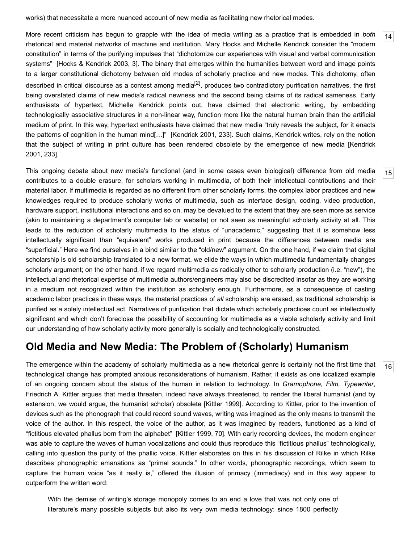works) that necessitate a more nuanced account of new media as facilitating new rhetorical modes.

<span id="page-4-0"></span>More recent criticism has begun to grapple with the idea of media writing as a practice that is embedded in *both* rhetorical and material networks of machine and institution. Mary Hocks and Michelle Kendrick consider the "modern constitution" in terms of the purifying impulses that "dichotomize our experiences with visual and verbal communication systems" [\[Hocks & Kendrick 2003,](#page-13-10) 3]. The binary that emerges within the humanities between word and image points to a larger constitutional dichotomy between old modes of scholarly practice and new modes. This dichotomy, often described in critical discourse as a contest among media $^{[2]}$  $^{[2]}$  $^{[2]}$ , produces two contradictory purification narratives, the first being overstated claims of new media's radical newness and the second being claims of its radical sameness. Early enthusiasts of hypertext, Michelle Kendrick points out, have claimed that electronic writing, by embedding technologically associative structures in a non-linear way, function more like the natural human brain than the artificial medium of print. In this way, hypertext enthusiasts have claimed that new media "truly reveals the subject, for it enacts the patterns of cognition in the human mind[…]" [[Kendrick 2001](#page-13-11), 233]. Such claims, Kendrick writes, rely on the notion [that the subject of writing in print culture has been rendered obsolete by the emergence of new media \[Kendrick](#page-13-11) 2001, 233].

<span id="page-4-1"></span>This ongoing debate about new media's functional (and in some cases even biological) difference from old media contributes to a double erasure, for scholars working in multimedia, of both their intellectual contributions and their material labor. If multimedia is regarded as no different from other scholarly forms, the complex labor practices and new knowledges required to produce scholarly works of multimedia, such as interface design, coding, video production, hardware support, institutional interactions and so on, may be devalued to the extent that they are seen more as service (akin to maintaining a department's computer lab or website) or not seen as meaningful scholarly activity at all. This leads to the reduction of scholarly multimedia to the status of "unacademic," suggesting that it is somehow less intellectually significant than "equivalent" works produced in print because the differences between media are "superficial." Here we find ourselves in a bind similar to the "old/new" argument. On the one hand, if we claim that digital scholarship is old scholarship translated to a new format, we elide the ways in which multimedia fundamentally changes scholarly argument; on the other hand, if we regard multimedia as radically other to scholarly production (i.e. "new"), the intellectual and rhetorical expertise of multimedia authors/engineers may also be discredited insofar as they are working in a medium not recognized within the institution as scholarly enough. Furthermore, as a consequence of casting academic labor practices in these ways, the material practices of *all* scholarship are erased, as traditional scholarship is purified as a solely intellectual act. Narratives of purification that dictate which scholarly practices count as intellectually significant and which don't foreclose the possibility of accounting for multimedia as a viable scholarly activity and limit our understanding of how scholarly activity more generally is socially and technologically constructed.

#### **Old Media and New Media: The Problem of (Scholarly) Humanism**

<span id="page-4-2"></span>The emergence within the academy of scholarly multimedia as a new rhetorical genre is certainly not the first time that technological change has prompted anxious reconsiderations of humanism. Rather, it exists as one localized example of an ongoing concern about the status of the human in relation to technology. In *Gramophone, Film, Typewriter*, Friedrich A. Kittler argues that media threaten, indeed have always threatened, to render the liberal humanist (and by extension, we would argue, the humanist scholar) obsolete [[Kittler 1999](#page-13-12)]. According to Kittler, prior to the invention of devices such as the phonograph that could record sound waves, writing was imagined as the only means to transmit the voice of the author. In this respect, the voice of the author, as it was imagined by readers, functioned as a kind of "fictitious elevated phallus born from the alphabet" [\[Kittler 1999,](#page-13-12) 70]. With early recording devices, the modern engineer was able to capture the waves of human vocalizations and could thus reproduce this "fictitious phallus" technologically, calling into question the purity of the phallic voice. Kittler elaborates on this in his discussion of Rilke in which Rilke describes phonographic emanations as "primal sounds." In other words, phonographic recordings, which seem to capture the human voice "as it really is," offered the illusion of primacy (immediacy) and in this way appear to outperform the written word:

With the demise of writing's storage monopoly comes to an end a love that was not only one of literature's many possible subjects but also its very own media technology: since 1800 perfectly [16](#page-4-2)

[14](#page-4-0)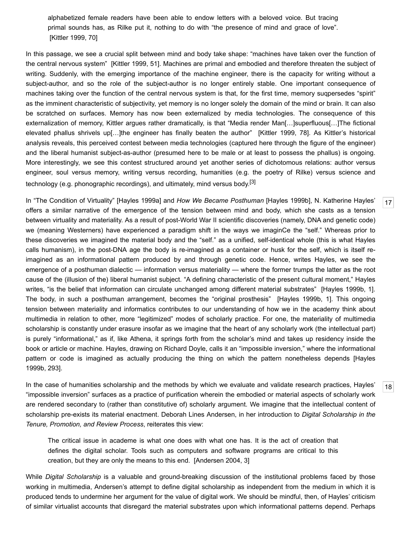alphabetized female readers have been able to endow letters with a beloved voice. But tracing primal sounds has, as Rilke put it, nothing to do with "the presence of mind and grace of love". [\[Kittler 1999,](#page-13-12) 70]

In this passage, we see a crucial split between mind and body take shape: "machines have taken over the function of the central nervous system" [[Kittler 1999](#page-13-12), 51]. Machines are primal and embodied and therefore threaten the subject of writing. Suddenly, with the emerging importance of the machine engineer, there is the capacity for writing without a subject-author, and so the role of the subject-author is no longer entirely stable. One important consequence of machines taking over the function of the central nervous system is that, for the first time, memory suqpersedes "spirit" as the imminent characteristic of subjectivity, yet memory is no longer solely the domain of the mind or brain. It can also be scratched on surfaces. Memory has now been externalized by media technologies. The consequence of this externalization of memory, Kittler argues rather dramatically, is that "Media render Man[…]superfluous[…]The fictional elevated phallus shrivels up[…]the engineer has finally beaten the author" [\[Kittler 1999,](#page-13-12) 78]. As Kittler's historical analysis reveals, this perceived contest between media technologies (captured here through the figure of the engineer) and the liberal humanist subject-as-author (presumed here to be male or at least to possess the phallus) is ongoing. More interestingly, we see this contest structured around yet another series of dichotomous relations: author versus engineer, soul versus memory, writing versus recording, humanities (e.g. the poetry of Rilke) versus science and technology (e.g. phonographic recordings), and ultimately, mind versus body.<sup>[\[3\]](#page-12-4)</sup>

<span id="page-5-0"></span>In "The Condition of Virtuality" [\[Hayles 1999a](#page-13-13)] and *How We Became Posthuman* [[Hayles 1999b](#page-13-14)], N. Katherine Hayles' offers a similar narrative of the emergence of the tension between mind and body, which she casts as a tension between virtuality and materiality. As a result of post-World War II scientific discoveries (namely, DNA and genetic code) we (meaning Westerners) have experienced a paradigm shift in the ways we imaginCe the "self." Whereas prior to these discoveries we imagined the material body and the "self." as a unified, self-identical whole (this is what Hayles calls humanism), in the post-DNA age the body is re-imagined as a container or husk for the self, which is itself reimagined as an informational pattern produced by and through genetic code. Hence, writes Hayles, we see the emergence of a posthuman dialectic — information versus materiality — where the former trumps the latter as the root cause of the (illusion of the) liberal humanist subject. "A defining characteristic of the present cultural moment," Hayles writes, "is the belief that information can circulate unchanged among different material substrates" [\[Hayles 1999b,](#page-13-14) 1]. The body, in such a posthuman arrangement, becomes the "original prosthesis" [\[Hayles 1999b,](#page-13-14) 1]. This ongoing tension between materiality and informatics contributes to our understanding of how we in the academy think about multimedia in relation to other, more "legitimized" modes of scholarly practice. For one, the materiality of multimedia scholarship is constantly under erasure insofar as we imagine that the heart of any scholarly work (the intellectual part) is purely "informational," as if, like Athena, it springs forth from the scholar's mind and takes up residency inside the book or article or machine. Hayles, drawing on Richard Doyle, calls it an "impossible inversion," where the informational [pattern or code is imagined as actually producing the thing on which the pattern nonetheless depends \[Hayles](#page-13-14) 1999b, 293].

<span id="page-5-1"></span>In the case of humanities scholarship and the methods by which we evaluate and validate research practices, Hayles' "impossible inversion" surfaces as a practice of purification wherein the embodied or material aspects of scholarly work are rendered secondary to (rather than constitutive of) scholarly argument. We imagine that the intellectual content of scholarship pre-exists its material enactment. Deborah Lines Andersen, in her introduction to *Digital Scholarship in the Tenure, Promotion, and Review Process*, reiterates this view:

The critical issue in academe is what one does with what one has. It is the act of creation that defines the digital scholar. Tools such as computers and software programs are critical to this creation, but they are only the means to this end. [\[Andersen 2004](#page-12-5), 3]

While *Digital Scholarship* is a valuable and ground-breaking discussion of the institutional problems faced by those working in multimedia, Andersen's attempt to define digital scholarship as independent from the medium in which it is produced tends to undermine her argument for the value of digital work. We should be mindful, then, of Hayles' criticism of similar virtualist accounts that disregard the material substrates upon which informational patterns depend. Perhaps

[18](#page-5-1)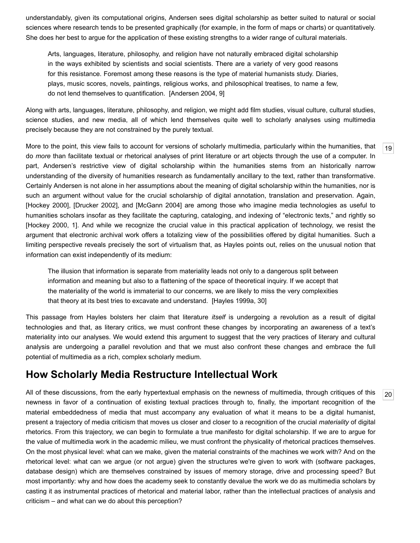understandably, given its computational origins, Andersen sees digital scholarship as better suited to natural or social sciences where research tends to be presented graphically (for example, in the form of maps or charts) or quantitatively. She does her best to argue for the application of these existing strengths to a wider range of cultural materials.

Arts, languages, literature, philosophy, and religion have not naturally embraced digital scholarship in the ways exhibited by scientists and social scientists. There are a variety of very good reasons for this resistance. Foremost among these reasons is the type of material humanists study. Diaries, plays, music scores, novels, paintings, religious works, and philosophical treatises, to name a few, do not lend themselves to quantification. [\[Andersen 2004](#page-12-5), 9]

Along with arts, languages, literature, philosophy, and religion, we might add film studies, visual culture, cultural studies, science studies, and new media, all of which lend themselves quite well to scholarly analyses using multimedia precisely because they are not constrained by the purely textual.

[19](#page-6-0)

[20](#page-6-1)

<span id="page-6-0"></span>More to the point, this view fails to account for versions of scholarly multimedia, particularly within the humanities, that do *more* than facilitate textual or rhetorical analyses of print literature or art objects through the use of a computer. In part, Andersen's restrictive view of digital scholarship within the humanities stems from an historically narrow understanding of the diversity of humanities research as fundamentally ancillary to the text, rather than transformative. Certainly Andersen is not alone in her assumptions about the meaning of digital scholarship within the humanities, nor is such an argument without value for the crucial scholarship of digital annotation, translation and preservation. Again, [\[Hockey 2000\]](#page-13-4), [[Drucker 2002\]](#page-12-1), and [[McGann 2004\]](#page-13-5) are among those who imagine media technologies as useful to humanities scholars insofar as they facilitate the capturing, cataloging, and indexing of "electronic texts," and rightly so [\[Hockey 2000,](#page-13-4) 1]. And while we recognize the crucial value in this practical application of technology, we resist the argument that electronic archival work offers a totalizing view of the possibilities offered by digital humanities. Such a limiting perspective reveals precisely the sort of virtualism that, as Hayles points out, relies on the unusual notion that information can exist independently of its medium:

The illusion that information is separate from materiality leads not only to a dangerous split between information and meaning but also to a flattening of the space of theoretical inquiry. If we accept that the materiality of the world is immaterial to our concerns, we are likely to miss the very complexities that theory at its best tries to excavate and understand. [\[Hayles 1999a](#page-13-13), 30]

This passage from Hayles bolsters her claim that literature *itself* is undergoing a revolution as a result of digital technologies and that, as literary critics, we must confront these changes by incorporating an awareness of a text's materiality into our analyses. We would extend this argument to suggest that the very practices of literary and cultural analysis are undergoing a parallel revolution and that we must also confront these changes and embrace the full potential of multimedia as a rich, complex scholarly medium.

### **How Scholarly Media Restructure Intellectual Work**

<span id="page-6-1"></span>All of these discussions, from the early hypertextual emphasis on the newness of multimedia, through critiques of this newness in favor of a continuation of existing textual practices through to, finally, the important recognition of the material embeddedness of media that must accompany any evaluation of what it means to be a digital humanist, present a trajectory of media criticism that moves us closer and closer to a recognition of the crucial *materiality* of digital rhetorics. From this trajectory, we can begin to formulate a true manifesto for digital scholarship. If we are to argue for the value of multimedia work in the academic milieu, we must confront the physicality of rhetorical practices themselves. On the most physical level: what can we make, given the material constraints of the machines we work with? And on the rhetorical level: what can we argue (or not argue) given the structures we're given to work with (software packages, database design) which are themselves constrained by issues of memory storage, drive and processing speed? But most importantly: why and how does the academy seek to constantly devalue the work we do as multimedia scholars by casting it as instrumental practices of rhetorical and material labor, rather than the intellectual practices of analysis and criticism – and what can we do about this perception?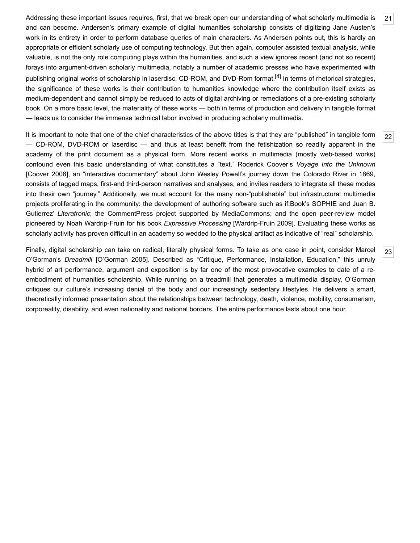<span id="page-7-0"></span>Addressing these important issues requires, first, that we break open our understanding of what scholarly multimedia is and can become. Andersen's primary example of digital humanities scholarship consists of digitizing Jane Austen's work in its entirety in order to perform database queries of main characters. As Andersen points out, this is hardly an appropriate or efficient scholarly use of computing technology. But then again, computer assisted textual analysis, while valuable, is not the only role computing plays within the humanities, and such a view ignores recent (and not so recent) forays into argument-driven scholarly multimedia, notably a number of academic presses who have experimented with publishing original works of scholarship in laserdisc, CD-ROM, and DVD-Rom format.<sup>[4]</sup> In terms of rhetorical strategies, the significance of these works is their contribution to humanities knowledge where the contribution itself exists as medium-dependent and cannot simply be reduced to acts of digital archiving or remediations of a pre-existing scholarly book. On a more basic level, the materiality of these works — both in terms of production and delivery in tangible format — leads us to consider the immense technical labor involved in producing scholarly multimedia.

<span id="page-7-1"></span>It is important to note that one of the chief characteristics of the above titles is that they are "published" in tangible form — CD-ROM, DVD-ROM or laserdisc — and thus at least benefit from the fetishization so readily apparent in the academy of the print document as a physical form. More recent works in multimedia (mostly web-based works) confound even this basic understanding of what constitutes a "text." Roderick Coover's *Voyage Into the Unknown* [\[Coover 2008\]](#page-12-7), an "interactive documentary" about John Wesley Powell's journey down the Colorado River in 1869, consists of tagged maps, first-and third-person narratives and analyses, and invites readers to integrate all these modes into thesir own "journey." Additionally, we must account for the many non-"publishable" but infrastructural multimedia projects proliferating in the community: the development of authoring software such as if:Book's SOPHIE and Juan B. Gutierrez' *Literatronic*; the CommentPress project supported by MediaCommons; and the open peer-review model pioneered by Noah Wardrip-Fruin for his book *Expressive Processing* [[Wardrip-Fruin 2009\]](#page-14-0). Evaluating these works as scholarly activity has proven difficult in an academy so wedded to the physical artifact as indicative of "real" scholarship.

<span id="page-7-2"></span>Finally, digital scholarship can take on radical, literally physical forms. To take as one case in point, consider Marcel O'Gorman's *Dreadmill* [\[O'Gorman 2005\]](#page-13-15). Described as "Critique, Performance, Installation, Education," this unruly hybrid of art performance, argument and exposition is by far one of the most provocative examples to date of a reembodiment of humanities scholarship. While running on a treadmill that generates a multimedia display, O'Gorman critiques our culture's increasing denial of the body and our increasingly sedentary lifestyles. He delivers a smart, theoretically informed presentation about the relationships between technology, death, violence, mobility, consumerism, corporeality, disability, and even nationality and national borders. The entire performance lasts about one hour.

[23](#page-7-2)

[21](#page-7-0)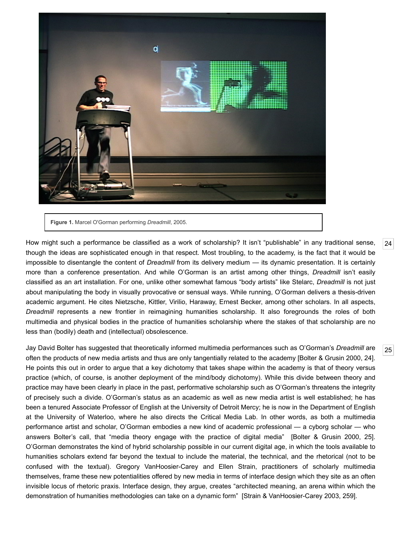

**Figure 1.** Marcel O'Gorman performing *Dreadmill*, 2005.

<span id="page-8-0"></span>How might such a performance be classified as a work of scholarship? It isn't "publishable" in any traditional sense, though the ideas are sophisticated enough in that respect. Most troubling, to the academy, is the fact that it would be impossible to disentangle the content of *Dreadmill* from its delivery medium — its dynamic presentation. It is certainly more than a conference presentation. And while O'Gorman is an artist among other things, *Dreadmill* isn't easily classified as an art installation. For one, unlike other somewhat famous "body artists" like Stelarc, *Dreadmill* is not just about manipulating the body in visually provocative or sensual ways. While running, O'Gorman delivers a thesis-driven academic argument. He cites Nietzsche, Kittler, Virilio, Haraway, Ernest Becker, among other scholars. In all aspects, *Dreadmill* represents a new frontier in reimagining humanities scholarship. It also foregrounds the roles of both multimedia and physical bodies in the practice of humanities scholarship where the stakes of that scholarship are no less than (bodily) death and (intellectual) obsolescence.

<span id="page-8-1"></span>Jay David Bolter has suggested that theoretically informed multimedia performances such as O'Gorman's *Dreadmill* are often the products of new media artists and thus are only tangentially related to the academy [[Bolter & Grusin 2000](#page-12-8), 24]. He points this out in order to argue that a key dichotomy that takes shape within the academy is that of theory versus practice (which, of course, is another deployment of the mind/body dichotomy). While this divide between theory and practice may have been clearly in place in the past, performative scholarship such as O'Gorman's threatens the integrity of precisely such a divide. O'Gorman's status as an academic as well as new media artist is well established; he has been a tenured Associate Professor of English at the University of Detroit Mercy; he is now in the Department of English at the University of Waterloo, where he also directs the [Critical Media Lab](http://criticalmedia.uwaterloo.ca/). In other words, as both a multimedia performance artist and scholar, O'Gorman embodies a new kind of academic professional — a cyborg scholar — who answers Bolter's call, that "media theory engage with the practice of digital media" [\[Bolter & Grusin 2000,](#page-12-8) 25]. O'Gorman demonstrates the kind of hybrid scholarship possible in our current digital age, in which the tools available to humanities scholars extend far beyond the textual to include the material, the technical, and the rhetorical (not to be confused with the textual). Gregory VanHoosier-Carey and Ellen Strain, practitioners of scholarly multimedia themselves, frame these new potentialities offered by new media in terms of interface design which they site as an often invisible locus of rhetoric praxis. Interface design, they argue, creates "architected meaning, an arena within which the demonstration of humanities methodologies can take on a dynamic form" [\[Strain & VanHoosier-Carey 2003](#page-13-16), 259].

[24](#page-8-0)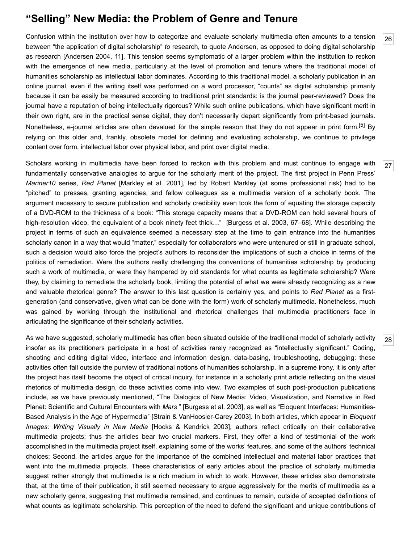#### **"Selling" New Media: the Problem of Genre and Tenure**

<span id="page-9-0"></span>Confusion within the institution over how to categorize and evaluate scholarly multimedia often amounts to a tension between "the application of digital scholarship" *to* research, to quote Andersen, as opposed to doing digital scholarship as research [[Andersen 2004,](#page-12-5) 11]. This tension seems symptomatic of a larger problem within the institution to reckon with the emergence of new media, particularly at the level of promotion and tenure where the traditional model of humanities scholarship as intellectual labor dominates. According to this traditional model, a scholarly publication in an online journal, even if the writing itself was performed on a word processor, "counts" as digital scholarship primarily because it can be easily be measured according to traditional print standards: is the journal peer-reviewed? Does the journal have a reputation of being intellectually rigorous? While such online publications, which have significant merit in their own right, are in the practical sense digital, they don't necessarily depart significantly from print-based journals. Nonetheless, e-journal articles are often devalued for the simple reason that they do not appear in print form.<sup>[5]</sup> By relying on this older and, frankly, obsolete model for defining and evaluating scholarship, we continue to privilege content over form, intellectual labor over physical labor, and print over digital media.

<span id="page-9-1"></span>Scholars working in multimedia have been forced to reckon with this problem and must continue to engage with fundamentally conservative analogies to argue for the scholarly merit of the project. The first project in Penn Press' *Mariner10* series, *Red Planet* [\[Markley et al. 2001\]](#page-13-17), led by Robert Markley (at some professional risk) had to be "pitched" to presses, granting agencies, and fellow colleagues as a multimedia version of a scholarly book. The argument necessary to secure publication and scholarly credibility even took the form of equating the storage capacity of a DVD-ROM to the thickness of a book: "This storage capacity means that a DVD-ROM can hold several hours of high-resolution video, the equivalent of a book ninety feet thick…" [[Burgess et al. 2003,](#page-12-10) 67–68]. While describing the project in terms of such an equivalence seemed a necessary step at the time to gain entrance into the humanities scholarly canon in a way that would "matter," especially for collaborators who were untenured or still in graduate school, such a decision would also force the project's authors to reconsider the implications of such a choice in terms of the politics of remediation. Were the authors really challenging the conventions of humanities scholarship by producing such a work of multimedia, or were they hampered by old standards for what counts as legitimate scholarship? Were they, by claiming to remediate the scholarly book, limiting the potential of what we were already recognizing as a new and valuable rhetorical genre? The answer to this last question is certainly yes, and points to *Red Planet* as a firstgeneration (and conservative, given what can be done with the form) work of scholarly multimedia. Nonetheless, much was gained by working through the institutional and rhetorical challenges that multimedia practitioners face in articulating the significance of their scholarly activities.

<span id="page-9-2"></span>As we have suggested, scholarly multimedia has often been situated outside of the traditional model of scholarly activity insofar as its practitioners participate in a host of activities rarely recognized as "intellectually significant." Coding, shooting and editing digital video, interface and information design, data-basing, troubleshooting, debugging: these activities often fall outside the purview of traditional notions of humanities scholarship. In a supreme irony, it is only after the project has itself become the object of critical inquiry, for instance in a scholarly print article reflecting on the visual rhetorics of multimedia design, do these activities come into view. Two examples of such post-production publications include, as we have previously mentioned, "The Dialogics of New Media: Video, Visualization, and Narrative in Red Planet: Scientific and Cultural Encounters with *Mars* " [\[Burgess et al. 2003](#page-12-10)], as well as "Eloquent Interfaces: Humanities-Based Analysis in the Age of Hypermedia" [[Strain & VanHoosier-Carey 2003](#page-13-16)]. In both articles, which appear in *Eloquent Images: Writing Visually in New Media* [[Hocks & Kendrick 2003\]](#page-13-10), authors reflect critically on their collaborative multimedia projects; thus the articles bear two crucial markers. First, they offer a kind of testimonial of the work accomplished in the multimedia project itself, explaining some of the works' features, and some of the authors' technical choices; Second, the articles argue for the importance of the combined intellectual and material labor practices that went into the multimedia projects. These characteristics of early articles about the practice of scholarly multimedia suggest rather strongly that multimedia is a rich medium in which to work. However, these articles also demonstrate that, at the time of their publication, it still seemed necessary to argue aggressively for the merits of multimedia as a new scholarly genre, suggesting that multimedia remained, and continues to remain, outside of accepted definitions of what counts as legitimate scholarship. This perception of the need to defend the significant and unique contributions of

[28](#page-9-2)

[26](#page-9-0)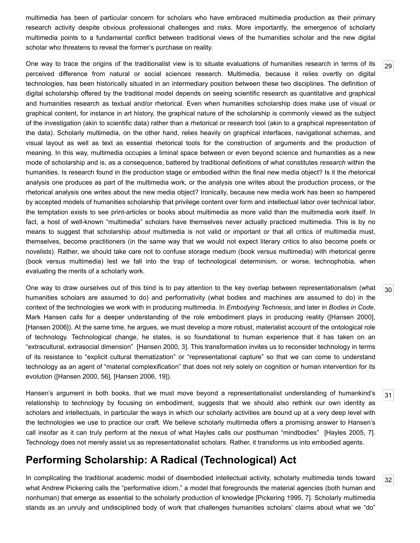multimedia has been of particular concern for scholars who have embraced multimedia production as their primary research activity despite obvious professional challenges and risks. More importantly, the emergence of scholarly multimedia points to a fundamental conflict between traditional views of the humanities scholar and the new digital scholar who threatens to reveal the former's purchase on reality.

<span id="page-10-0"></span>One way to trace the origins of the traditionalist view is to situate evaluations of humanities research in terms of its perceived difference from natural or social sciences research. Multimedia, because it relies overtly on digital technologies, has been historically situated in an intermediary position between these two disciplines. The definition of digital scholarship offered by the traditional model depends on seeing scientific research as quantitative and graphical and humanities research as textual and/or rhetorical. Even when humanities scholarship does make use of visual or graphical content, for instance in art history, the graphical nature of the scholarship is commonly viewed as the subject of the investigation (akin to scientific data) rather than a rhetorical or research tool (akin to a graphical representation of the data). Scholarly multimedia, on the other hand, relies heavily on graphical interfaces, navigational schemas, and visual layout as well as text as essential rhetorical tools for the construction of arguments and the production of meaning. In this way, multimedia occupies a liminal space between or even beyond science and humanities as a new mode of scholarship and is, as a consequence, battered by traditional definitions of what constitutes *research* within the humanities. Is research found in the production stage or embodied within the final new media object? Is it the rhetorical analysis one produces as part of the multimedia work, or the analysis one writes about the production process, or the rhetorical analysis one writes about the new media object? Ironically, because new media work has been so hampered by accepted models of humanities scholarship that privilege content over form and intellectual labor over technical labor, the temptation exists to see print-articles or books about multimedia as more valid than the multimedia work itself. In fact, a host of well-known "multimedia" scholars have themselves never actually practiced multimedia. This is by no means to suggest that scholarship *about* multimedia is not valid or important or that all critics of multimedia must, themselves, become practitioners (in the same way that we would not expect literary critics to also become poets or novelists). Rather, we should take care not to confuse storage medium (book versus multimedia) with rhetorical genre (book versus multimedia) lest we fall into the trap of technological determinism, or worse, technophobia, when evaluating the merits of a scholarly work.

<span id="page-10-1"></span>One way to draw ourselves out of this bind is to pay attention to the key overlap between representationalism (what humanities scholars are assumed to do) and performativity (what bodies and machines are assumed to do) in the context of the technologies we work with in producing multimedia. In *Embodying Technesis*, and later in *Bodies in Code*, Mark Hansen calls for a deeper understanding of the role embodiment plays in producing reality ([[Hansen 2000](#page-12-11)], [\[Hansen 2006\]](#page-13-8)). At the same time, he argues, we must develop a more robust, materialist account of the ontological role of technology. Technological change, he states, is so foundational to human experience that it has taken on an "extracultural, extrasocial dimension" [\[Hansen 2000](#page-12-11), 3]. This transformation invites us to reconsider technology in terms of its resistance to "explicit cultural thematization" or "representational capture" so that we can come to understand technology as an agent of "material complexification" that does not rely solely on cognition or human intervention for its evolution ([[Hansen 2000,](#page-12-11) 56], [\[Hansen 2006,](#page-13-8) 19]).

<span id="page-10-2"></span>Hansen's argument in both books, that we must move beyond a representationalist understanding of humankind's relationship to technology by focusing on embodiment, suggests that we should also rethink our own identity as scholars and intellectuals, in particular the ways in which our scholarly activities are bound up at a very deep level with the technologies we use to practice our craft. We believe scholarly multimedia offers a promising answer to Hansen's call insofar as it can truly perform at the nexus of what Hayles calls our posthuman "mindbodies" [[Hayles 2005](#page-13-7), 7]. Technology does not merely assist us as representationalist scholars. Rather, it transforms us into embodied agents.

# **Performing Scholarship: A Radical (Technological) Act**

<span id="page-10-3"></span>In complicating the traditional academic model of disembodied intellectual activity, scholarly multimedia tends toward what Andrew Pickering calls the "performative idiom," a model that foregrounds the material agencies (both human and nonhuman) that emerge as essential to the scholarly production of knowledge [[Pickering 1995](#page-13-18), 7]. Scholarly multimedia stands as an unruly and undisciplined body of work that challenges humanities scholars' claims about what we "do"

[30](#page-10-1)

[31](#page-10-2)

[32](#page-10-3)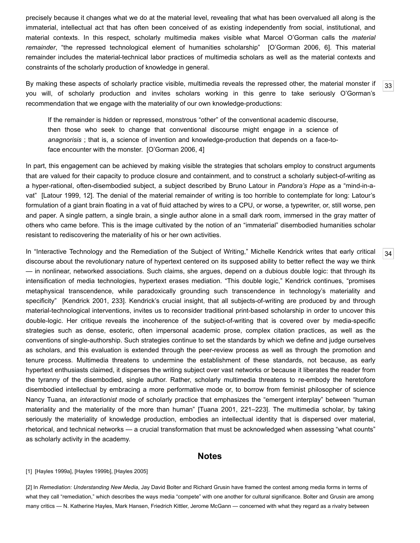precisely because it changes what we do at the material level, revealing that what has been overvalued all along is the immaterial, intellectual act that has often been conceived of as existing independently from social, institutional, and material contexts. In this respect, scholarly multimedia makes visible what Marcel O'Gorman calls the *material remainder*, "the repressed technological element of humanities scholarship" [\[O'Gorman 2006,](#page-13-19) 6]. This material remainder includes the material-technical labor practices of multimedia scholars as well as the material contexts and constraints of the scholarly production of knowledge in general.

<span id="page-11-2"></span>[33](#page-11-2) By making these aspects of scholarly practice visible, multimedia reveals the repressed other, the material monster if you will, of scholarly production and invites scholars working in this genre to take seriously O'Gorman's recommendation that we engage with the materiality of our own knowledge-productions:

If the remainder is hidden or repressed, monstrous "other" of the conventional academic discourse, then those who seek to change that conventional discourse might engage in a science of *anagnorisis* ; that is, a science of invention and knowledge-production that depends on a face-toface encounter with the monster. [\[O'Gorman 2006,](#page-13-19) 4]

In part, this engagement can be achieved by making visible the strategies that scholars employ to construct arguments that are valued for their capacity to produce closure and containment, and to construct a scholarly subject-of-writing as a hyper-rational, often-disembodied subject, a subject described by Bruno Latour in *Pandora's Hope* as a "mind-in-avat" [\[Latour 1999](#page-13-20), 12]. The denial of the material remainder of writing is too horrible to contemplate for long: Latour's formulation of a giant brain floating in a vat of fluid attached by wires to a CPU, or worse, a typewriter, or, still worse, pen and paper. A single pattern, a single brain, a single author alone in a small dark room, immersed in the gray matter of others who came before. This is the image cultivated by the notion of an "immaterial" disembodied humanities scholar resistant to rediscovering the materiality of his or her own activities.

<span id="page-11-3"></span>In "Interactive Technology and the Remediation of the Subject of Writing," Michelle Kendrick writes that early critical discourse about the revolutionary nature of hypertext centered on its supposed ability to better reflect the way we think — in nonlinear, networked associations. Such claims, she argues, depend on a dubious double logic: that through its intensification of media technologies, hypertext erases mediation. "This double logic," Kendrick continues, "promises metaphysical transcendence, while paradoxically grounding such transcendence in technology's materiality and specificity" [\[Kendrick 2001](#page-13-11), 233]. Kendrick's crucial insight, that all subjects-of-writing are produced by and through material-technological interventions, invites us to reconsider traditional print-based scholarship in order to uncover this double-logic. Her critique reveals the incoherence of the subject-of-writing that is covered over by media-specific strategies such as dense, esoteric, often impersonal academic prose, complex citation practices, as well as the conventions of single-authorship. Such strategies continue to set the standards by which we define and judge ourselves as scholars, and this evaluation is extended through the peer-review process as well as through the promotion and tenure process. Multimedia threatens to undermine the establishment of these standards, not because, as early hypertext enthusiasts claimed, it disperses the writing subject over vast networks or because it liberates the reader from the tyranny of the disembodied, single author. Rather, scholarly multimedia threatens to re-embody the heretofore disembodied intellectual by embracing a more performative mode or, to borrow from feminist philosopher of science Nancy Tuana, an *interactionist* mode of scholarly practice that emphasizes the "emergent interplay" between "human materiality and the materiality of the more than human" [\[Tuana 2001,](#page-13-1) 221–223]. The multimedia scholar, by taking seriously the materiality of knowledge production, embodies an intellectual identity that is dispersed over material, rhetorical, and technical networks — a crucial transformation that must be acknowledged when assessing "what counts" as scholarly activity in the academy.

#### **Notes**

#### <span id="page-11-0"></span>[1] [\[Hayles 1999a](#page-13-13)], [\[Hayles 1999b](#page-13-14)], [[Hayles 2005](#page-13-7)]

<span id="page-11-1"></span>[2] In *Remediation: Understanding New Media*, Jay David Bolter and Richard Grusin have framed the contest among media forms in terms of what they call "remediation," which describes the ways media "compete" with one another for cultural significance. Bolter and Grusin are among many critics — N. Katherine Hayles, Mark Hansen, Friedrich Kittler, Jerome McGann — concerned with what they regard as a rivalry between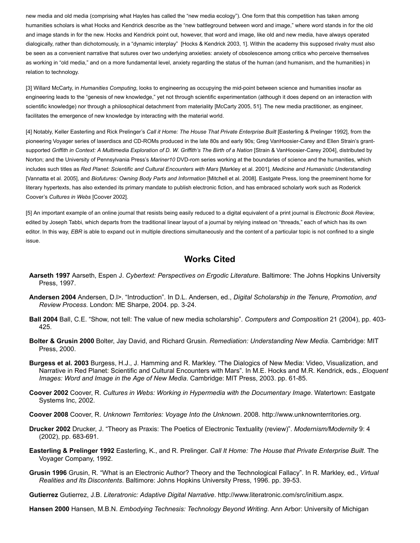new media and old media (comprising what Hayles has called the "new media ecology"). One form that this competition has taken among humanities scholars is what Hocks and Kendrick describe as the "new battleground between word and image," where word stands in for the old and image stands in for the new. Hocks and Kendrick point out, however, that word and image, like old and new media, have always operated dialogically, rather than dichotomously, in a "dynamic interplay" [[Hocks & Kendrick 2003](#page-13-10), 1]. Within the academy this supposed rivalry must also be seen as a convenient narrative that sutures over two underlying anxieties: anxiety of obsolescence among critics who perceive themselves as working in "old media," and on a more fundamental level, anxiety regarding the status of the human (and humanism, and the humanities) in relation to technology.

<span id="page-12-4"></span>[3] Willard McCarty, in *Humanities Computing*, looks to engineering as occupying the mid-point between science and humanities insofar as engineering leads to the "genesis of new knowledge," yet not through scientific experimentation (although it does depend on an interaction with scientific knowledge) nor through a philosophical detachment from materiality [\[McCarty 2005,](#page-13-21) 51]. The new media practitioner, as engineer, facilitates the emergence of new knowledge by interacting with the material world.

<span id="page-12-6"></span>[4] Notably, Keller Easterling and Rick Prelinger's *Call it Home: The House That Private Enterprise Built* [\[Easterling & Prelinger 1992\]](#page-12-12), from the pioneering Voyager series of laserdiscs and CD-ROMs produced in the late 80s and early 90s; Greg VanHoosier-Carey and Ellen Strain's grant-supported Griffith in Context: A Multimedia Exploration of D. W. Griffith's The Birth of a Nation [[Strain & VanHoosier-Carey 2004](#page-13-22)], distributed by Norton; and the University of Pennsylvania Press's *Mariner10* DVD-rom series working at the boundaries of science and the humanities, which includes such titles as *Red Planet: Scientific and Cultural Encounters with Mars* [[Markley et al. 2001](#page-13-17)], *Medicine and Humanistic Understanding* [[Vannatta et al. 2005\]](#page-14-1), and *Biofutures: Owning Body Parts and Information* [\[Mitchell et al. 2008](#page-13-23)]. Eastgate Press, long the preeminent home for literary hypertexts, has also extended its primary mandate to publish electronic fiction, and has embraced scholarly work such as Roderick Coover's *Cultures in Webs* [[Coover 2002\]](#page-12-13).

<span id="page-12-9"></span>[5] An important example of an online journal that resists being easily reduced to a digital equivalent of a print journal is *Electronic Book Review*, edited by Joseph Tabbi, which departs from the traditional linear layout of a journal by relying instead on "threads," each of which has its own editor. In this way, *EBR* is able to expand out in multiple directions simultaneously and the content of a particular topic is not confined to a single issue.

#### **Works Cited**

- <span id="page-12-3"></span>**Aarseth 1997** Aarseth, Espen J. *Cybertext: Perspectives on Ergodic Literature*. Baltimore: The Johns Hopkins University Press, 1997.
- <span id="page-12-5"></span>**Andersen 2004** Andersen, D.l>. "Introduction". In D.L. Andersen, ed., *Digital Scholarship in the Tenure, Promotion, and Review Process*. London: ME Sharpe, 2004. pp. 3-24.
- <span id="page-12-0"></span>**Ball 2004** Ball, C.E. "Show, not tell: The value of new media scholarship". *Computers and Composition* 21 (2004), pp. 403- 425.
- <span id="page-12-8"></span>**Bolter & Grusin 2000** Bolter, Jay David, and Richard Grusin. *Remediation: Understanding New Media*. Cambridge: MIT Press, 2000.
- <span id="page-12-10"></span>**Burgess et al. 2003** Burgess, H.J., J. Hamming and R. Markley. "The Dialogics of New Media: Video, Visualization, and Narrative in Red Planet: Scientific and Cultural Encounters with Mars". In M.E. Hocks and M.R. Kendrick, eds., *Eloquent Images: Word and Image in the Age of New Media*. Cambridge: MIT Press, 2003. pp. 61-85.
- <span id="page-12-13"></span>**Coover 2002** Coover, R. *Cultures in Webs: Working in Hypermedia with the Documentary Image*. Watertown: Eastgate Systems Inc, 2002.
- <span id="page-12-7"></span>**Coover 2008** Coover, R. *Unknown Territories: Voyage Into the Unknown*. 2008. [http://www.unknownterritories.org](http://www.unknownterritories.org/).
- <span id="page-12-1"></span>**Drucker 2002** Drucker, J. "Theory as Praxis: The Poetics of Electronic Textuality (review)". *Modernism/Modernity* 9: 4 (2002), pp. 683-691.
- <span id="page-12-12"></span>**Easterling & Prelinger 1992** Easterling, K., and R. Prelinger. *Call It Home: The House that Private Enterprise Built*. The Voyager Company, 1992.
- <span id="page-12-2"></span>**Grusin 1996** Grusin, R. "What is an Electronic Author? Theory and the Technological Fallacy". In R. Markley, ed., *Virtual Realities and Its Discontents*. Baltimore: Johns Hopkins University Press, 1996. pp. 39-53.
- **Gutierrez** Gutierrez, J.B. *Literatronic: Adaptive Digital Narrative*. [http://www.literatronic.com/src/initium.aspx.](http://www.literatronic.com/src/initium.aspx)

<span id="page-12-11"></span>**Hansen 2000** Hansen, M.B.N. *Embodying Technesis: Technology Beyond Writing*. Ann Arbor: University of Michigan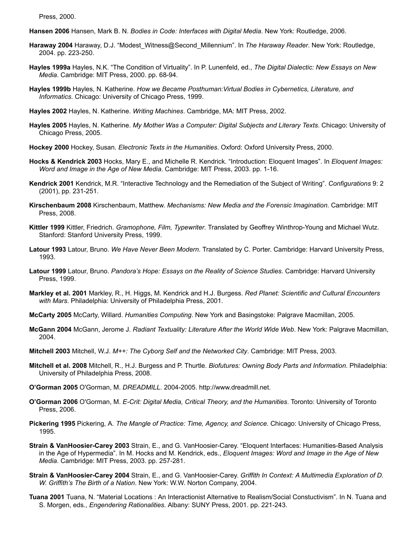Press, 2000.

<span id="page-13-8"></span>**Hansen 2006** Hansen, Mark B. N. *Bodies in Code: Interfaces with Digital Media*. New York: Routledge, 2006.

- <span id="page-13-3"></span>**Haraway 2004** Haraway, D.J. "Modest\_Witness@Second\_Millennium". In *The Haraway Reader*. New York: Routledge, 2004. pp. 223-250.
- <span id="page-13-13"></span>**Hayles 1999a** Hayles, N.K. "The Condition of Virtuality". In P. Lunenfeld, ed., *The Digital Dialectic: New Essays on New Media*. Cambridge: MIT Press, 2000. pp. 68-94.
- <span id="page-13-14"></span>**Hayles 1999b** Hayles, N. Katherine. *How we Became Posthuman:Virtual Bodies in Cybernetics, Literature, and Informatics*. Chicago: University of Chicago Press, 1999.

<span id="page-13-6"></span>**Hayles 2002** Hayles, N. Katherine. *Writing Machines*. Cambridge, MA: MIT Press, 2002.

- <span id="page-13-7"></span>**Hayles 2005** Hayles, N. Katherine. *My Mother Was a Computer: Digital Subjects and Literary Texts*. Chicago: University of Chicago Press, 2005.
- <span id="page-13-4"></span>**Hockey 2000** Hockey, Susan. *Electronic Texts in the Humanities*. Oxford: Oxford University Press, 2000.
- <span id="page-13-10"></span>**Hocks & Kendrick 2003** Hocks, Mary E., and Michelle R. Kendrick. "Introduction: Eloquent Images". In *Eloquent Images: Word and Image in the Age of New Media*. Cambridge: MIT Press, 2003. pp. 1-16.
- <span id="page-13-11"></span>**Kendrick 2001** Kendrick, M.R. "Interactive Technology and the Remediation of the Subject of Writing". *Configurations* 9: 2 (2001), pp. 231-251.
- <span id="page-13-2"></span>**Kirschenbaum 2008** Kirschenbaum, Matthew. *Mechanisms: New Media and the Forensic Imagination*. Cambridge: MIT Press, 2008.
- <span id="page-13-12"></span>**Kittler 1999** Kittler, Friedrich. *Gramophone, Film, Typewriter*. Translated by Geoffrey Winthrop-Young and Michael Wutz. Stanford: Stanford University Press, 1999.
- <span id="page-13-9"></span>**Latour 1993** Latour, Bruno. *We Have Never Been Modern*. Translated by C. Porter. Cambridge: Harvard University Press, 1993.
- <span id="page-13-20"></span>**Latour 1999** Latour, Bruno. *Pandora's Hope: Essays on the Reality of Science Studies*. Cambridge: Harvard University Press, 1999.
- <span id="page-13-17"></span>**Markley et al. 2001** Markley, R., H. Higgs, M. Kendrick and H.J. Burgess. *Red Planet: Scientific and Cultural Encounters with Mars*. Philadelphia: University of Philadelphia Press, 2001.
- <span id="page-13-21"></span>**McCarty 2005** McCarty, Willard. *Humanities Computing*. New York and Basingstoke: Palgrave Macmillan, 2005.
- <span id="page-13-5"></span>**McGann 2004** McGann, Jerome J. *Radiant Textuality: Literature After the World Wide Web*. New York: Palgrave Macmillan, 2004.
- <span id="page-13-0"></span>**Mitchell 2003** Mitchell, W.J. *M++: The Cyborg Self and the Networked City*. Cambridge: MIT Press, 2003.
- <span id="page-13-23"></span>**Mitchell et al. 2008** Mitchell, R., H.J. Burgess and P. Thurtle. *Biofutures: Owning Body Parts and Information*. Philadelphia: University of Philadelphia Press, 2008.
- <span id="page-13-15"></span>**O'Gorman 2005** O'Gorman, M. *DREADMILL*. 2004-2005. [http://www.dreadmill.net](http://www.dreadmill.net/).
- <span id="page-13-19"></span>**O'Gorman 2006** O'Gorman, M. *E-Crit: Digital Media, Critical Theory, and the Humanities*. Toronto: University of Toronto Press, 2006.
- <span id="page-13-18"></span>**Pickering 1995** Pickering, A. *The Mangle of Practice: Time, Agency, and Science*. Chicago: University of Chicago Press, 1995.
- <span id="page-13-16"></span>**Strain & VanHoosier-Carey 2003** Strain, E., and G. VanHoosier-Carey. "Eloquent Interfaces: Humanities-Based Analysis in the Age of Hypermedia". In M. Hocks and M. Kendrick, eds., *Eloquent Images: Word and Image in the Age of New Media*. Cambridge: MIT Press, 2003. pp. 257-281.
- <span id="page-13-22"></span>**Strain & VanHoosier-Carey 2004** Strain, E., and G. VanHoosier-Carey. *Griffith In Context: A Multimedia Exploration of D. W. Griffith's The Birth of a Nation*. New York: W.W. Norton Company, 2004.
- <span id="page-13-1"></span>**Tuana 2001** Tuana, N. "Material Locations : An Interactionist Alternative to Realism/Social Constuctivism". In N. Tuana and S. Morgen, eds., *Engendering Rationalities*. Albany: SUNY Press, 2001. pp. 221-243.